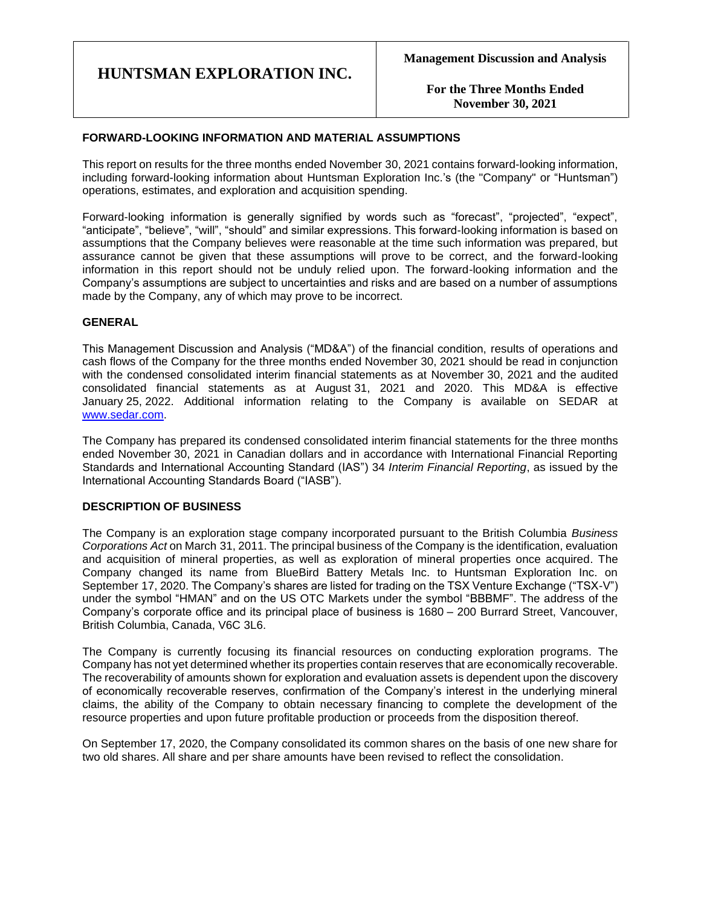**For the Three Months Ended November 30, 2021**

## **FORWARD-LOOKING INFORMATION AND MATERIAL ASSUMPTIONS**

This report on results for the three months ended November 30, 2021 contains forward-looking information, including forward-looking information about Huntsman Exploration Inc.'s (the "Company" or "Huntsman") operations, estimates, and exploration and acquisition spending.

Forward-looking information is generally signified by words such as "forecast", "projected", "expect", "anticipate", "believe", "will", "should" and similar expressions. This forward-looking information is based on assumptions that the Company believes were reasonable at the time such information was prepared, but assurance cannot be given that these assumptions will prove to be correct, and the forward-looking information in this report should not be unduly relied upon. The forward-looking information and the Company's assumptions are subject to uncertainties and risks and are based on a number of assumptions made by the Company, any of which may prove to be incorrect.

## **GENERAL**

This Management Discussion and Analysis ("MD&A") of the financial condition, results of operations and cash flows of the Company for the three months ended November 30, 2021 should be read in conjunction with the condensed consolidated interim financial statements as at November 30, 2021 and the audited consolidated financial statements as at August 31, 2021 and 2020. This MD&A is effective January 25, 2022. Additional information relating to the Company is available on SEDAR at [www.sedar.com.](http://www.sedar.com/)

The Company has prepared its condensed consolidated interim financial statements for the three months ended November 30, 2021 in Canadian dollars and in accordance with International Financial Reporting Standards and International Accounting Standard (IAS") 34 *Interim Financial Reporting*, as issued by the International Accounting Standards Board ("IASB").

### **DESCRIPTION OF BUSINESS**

The Company is an exploration stage company incorporated pursuant to the British Columbia *Business Corporations Act* on March 31, 2011. The principal business of the Company is the identification, evaluation and acquisition of mineral properties, as well as exploration of mineral properties once acquired. The Company changed its name from BlueBird Battery Metals Inc. to Huntsman Exploration Inc. on September 17, 2020. The Company's shares are listed for trading on the TSX Venture Exchange ("TSX-V") under the symbol "HMAN" and on the US OTC Markets under the symbol "BBBMF". The address of the Company's corporate office and its principal place of business is 1680 – 200 Burrard Street, Vancouver, British Columbia, Canada, V6C 3L6.

The Company is currently focusing its financial resources on conducting exploration programs. The Company has not yet determined whether its properties contain reserves that are economically recoverable. The recoverability of amounts shown for exploration and evaluation assets is dependent upon the discovery of economically recoverable reserves, confirmation of the Company's interest in the underlying mineral claims, the ability of the Company to obtain necessary financing to complete the development of the resource properties and upon future profitable production or proceeds from the disposition thereof.

On September 17, 2020, the Company consolidated its common shares on the basis of one new share for two old shares. All share and per share amounts have been revised to reflect the consolidation.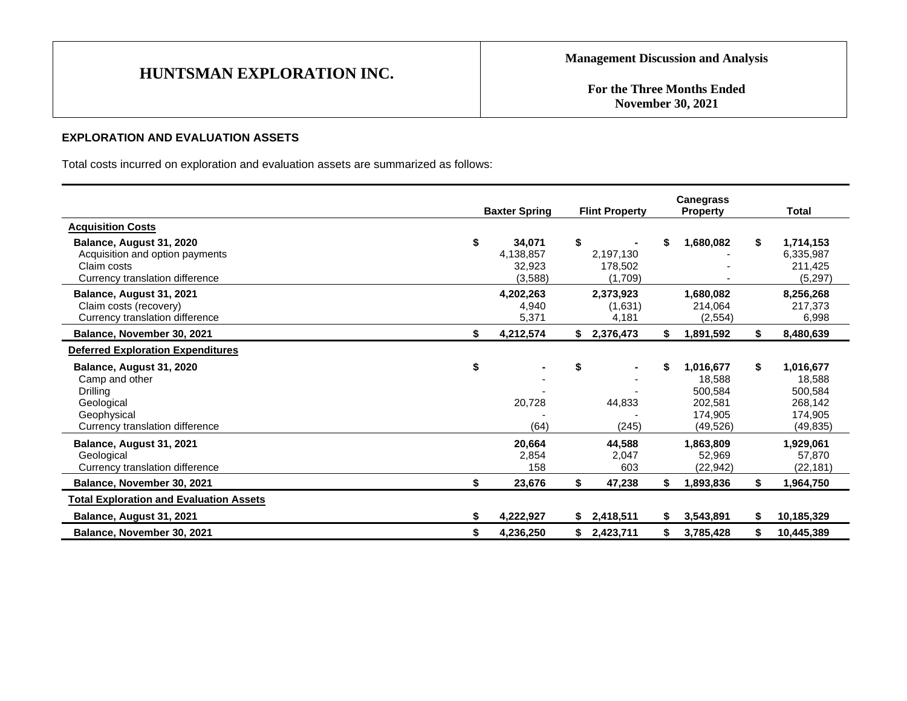**For the Three Months Ended November 30, 2021**

## **EXPLORATION AND EVALUATION ASSETS**

Total costs incurred on exploration and evaluation assets are summarized as follows:

|                                                                                                                        | <b>Baxter Spring</b>                            |    | <b>Flint Property</b>             |    | <b>Canegrass</b><br><b>Property</b>                               |    | <b>Total</b>                                                      |
|------------------------------------------------------------------------------------------------------------------------|-------------------------------------------------|----|-----------------------------------|----|-------------------------------------------------------------------|----|-------------------------------------------------------------------|
| <b>Acquisition Costs</b>                                                                                               |                                                 |    |                                   |    |                                                                   |    |                                                                   |
| Balance, August 31, 2020<br>Acquisition and option payments<br>Claim costs<br>Currency translation difference          | \$<br>34,071<br>4,138,857<br>32,923<br>(3, 588) | \$ | 2,197,130<br>178.502<br>(1,709)   | \$ | 1,680,082                                                         | \$ | 1,714,153<br>6,335,987<br>211,425<br>(5,297)                      |
| Balance, August 31, 2021<br>Claim costs (recovery)<br>Currency translation difference                                  | 4,202,263<br>4,940<br>5,371                     |    | 2,373,923<br>(1,631)<br>4,181     |    | 1,680,082<br>214.064<br>(2, 554)                                  |    | 8,256,268<br>217,373<br>6,998                                     |
| Balance, November 30, 2021                                                                                             | \$<br>4,212,574                                 | \$ | 2,376,473                         | \$ | 1,891,592                                                         | \$ | 8,480,639                                                         |
| <b>Deferred Exploration Expenditures</b>                                                                               |                                                 |    |                                   |    |                                                                   |    |                                                                   |
| Balance, August 31, 2020<br>Camp and other<br>Drilling<br>Geological<br>Geophysical<br>Currency translation difference | \$<br>20,728<br>(64)                            | \$ | $\blacksquare$<br>44,833<br>(245) | \$ | 1,016,677<br>18,588<br>500.584<br>202,581<br>174.905<br>(49, 526) | \$ | 1,016,677<br>18,588<br>500,584<br>268,142<br>174,905<br>(49, 835) |
| Balance, August 31, 2021<br>Geological<br>Currency translation difference                                              | 20,664<br>2,854<br>158                          |    | 44,588<br>2,047<br>603            |    | 1,863,809<br>52,969<br>(22, 942)                                  |    | 1,929,061<br>57,870<br>(22, 181)                                  |
| Balance, November 30, 2021                                                                                             | \$<br>23,676                                    | \$ | 47,238                            | \$ | 1,893,836                                                         | \$ | 1,964,750                                                         |
| <b>Total Exploration and Evaluation Assets</b>                                                                         |                                                 |    |                                   |    |                                                                   |    |                                                                   |
| Balance, August 31, 2021                                                                                               | \$<br>4,222,927                                 | S. | 2,418,511                         | S  | 3,543,891                                                         | S  | 10,185,329                                                        |
| Balance, November 30, 2021                                                                                             | \$<br>4,236,250                                 |    | \$2,423,711                       | \$ | 3,785,428                                                         | \$ | 10,445,389                                                        |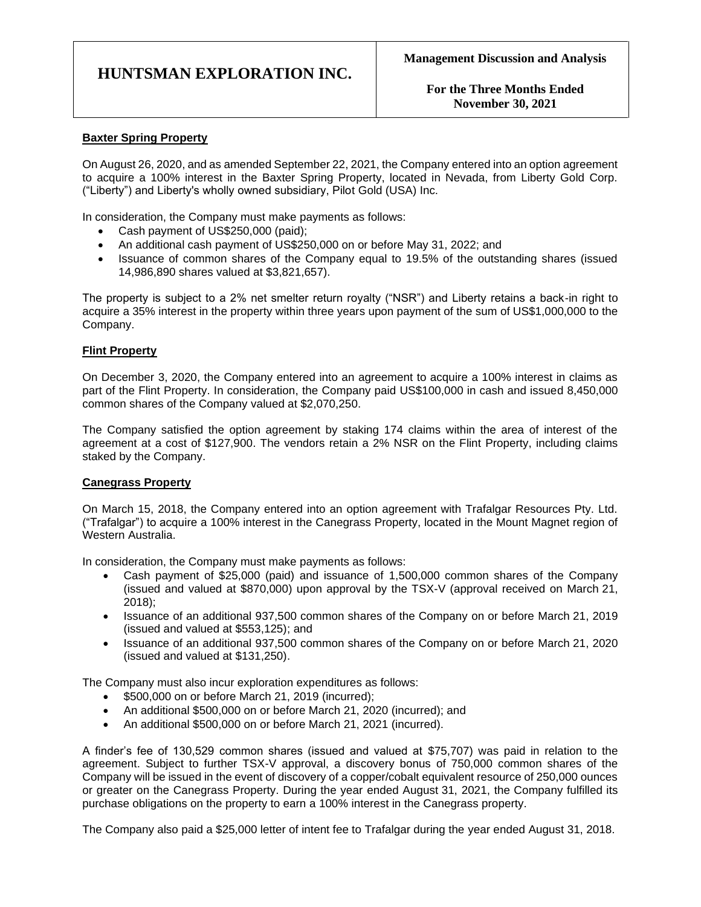**For the Three Months Ended November 30, 2021**

## **Baxter Spring Property**

On August 26, 2020, and as amended September 22, 2021, the Company entered into an option agreement to acquire a 100% interest in the Baxter Spring Property, located in Nevada, from Liberty Gold Corp. ("Liberty") and Liberty's wholly owned subsidiary, Pilot Gold (USA) Inc.

In consideration, the Company must make payments as follows:

- Cash payment of US\$250,000 (paid);
- An additional cash payment of US\$250,000 on or before May 31, 2022; and
- Issuance of common shares of the Company equal to 19.5% of the outstanding shares (issued 14,986,890 shares valued at \$3,821,657).

The property is subject to a 2% net smelter return royalty ("NSR") and Liberty retains a back-in right to acquire a 35% interest in the property within three years upon payment of the sum of US\$1,000,000 to the Company.

### **Flint Property**

On December 3, 2020, the Company entered into an agreement to acquire a 100% interest in claims as part of the Flint Property. In consideration, the Company paid US\$100,000 in cash and issued 8,450,000 common shares of the Company valued at \$2,070,250.

The Company satisfied the option agreement by staking 174 claims within the area of interest of the agreement at a cost of \$127,900. The vendors retain a 2% NSR on the Flint Property, including claims staked by the Company.

### **Canegrass Property**

On March 15, 2018, the Company entered into an option agreement with Trafalgar Resources Pty. Ltd. ("Trafalgar") to acquire a 100% interest in the Canegrass Property, located in the Mount Magnet region of Western Australia.

In consideration, the Company must make payments as follows:

- Cash payment of \$25,000 (paid) and issuance of 1,500,000 common shares of the Company (issued and valued at \$870,000) upon approval by the TSX-V (approval received on March 21, 2018);
- Issuance of an additional 937,500 common shares of the Company on or before March 21, 2019 (issued and valued at \$553,125); and
- Issuance of an additional 937,500 common shares of the Company on or before March 21, 2020 (issued and valued at \$131,250).

The Company must also incur exploration expenditures as follows:

- \$500,000 on or before March 21, 2019 (incurred);
- An additional \$500,000 on or before March 21, 2020 (incurred); and
- An additional \$500,000 on or before March 21, 2021 (incurred).

A finder's fee of 130,529 common shares (issued and valued at \$75,707) was paid in relation to the agreement. Subject to further TSX-V approval, a discovery bonus of 750,000 common shares of the Company will be issued in the event of discovery of a copper/cobalt equivalent resource of 250,000 ounces or greater on the Canegrass Property. During the year ended August 31, 2021, the Company fulfilled its purchase obligations on the property to earn a 100% interest in the Canegrass property.

The Company also paid a \$25,000 letter of intent fee to Trafalgar during the year ended August 31, 2018.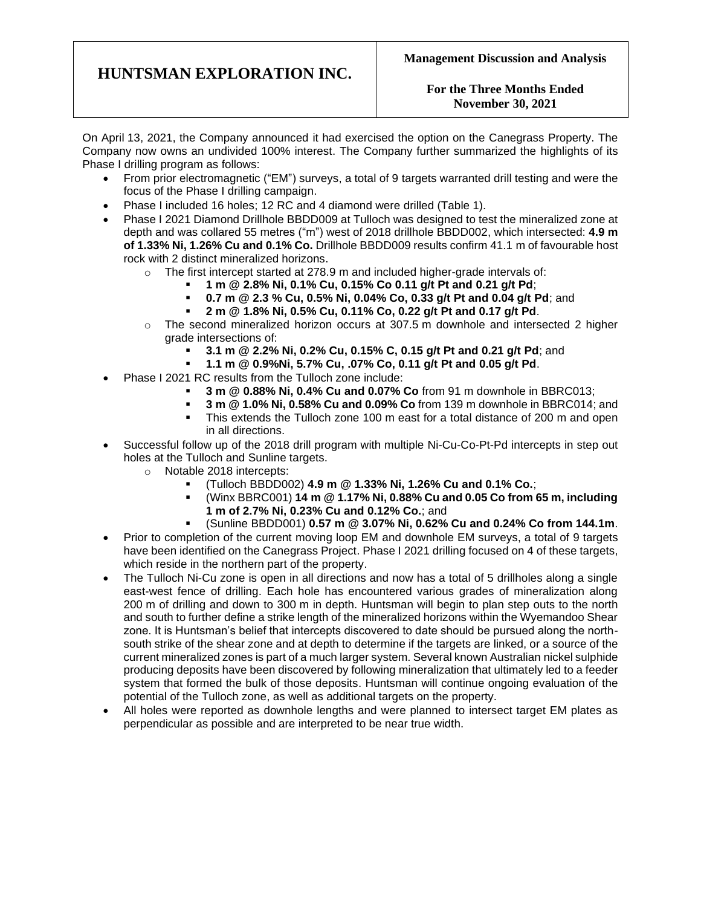## **For the Three Months Ended November 30, 2021**

On April 13, 2021, the Company announced it had exercised the option on the Canegrass Property. The Company now owns an undivided 100% interest. The Company further summarized the highlights of its Phase I drilling program as follows:

- From prior electromagnetic ("EM") surveys, a total of 9 targets warranted drill testing and were the focus of the Phase I drilling campaign.
- Phase I included 16 holes; 12 RC and 4 diamond were drilled (Table 1).
- Phase I 2021 Diamond Drillhole BBDD009 at Tulloch was designed to test the mineralized zone at depth and was collared 55 metres ("m") west of 2018 drillhole BBDD002, which intersected: **4.9 m of 1.33% Ni, 1.26% Cu and 0.1% Co.** Drillhole BBDD009 results confirm 41.1 m of favourable host rock with 2 distinct mineralized horizons.
	- $\circ$  The first intercept started at 278.9 m and included higher-grade intervals of:
		- **1 m @ 2.8% Ni, 0.1% Cu, 0.15% Co 0.11 g/t Pt and 0.21 g/t Pd**;
		- **0.7 m @ 2.3 % Cu, 0.5% Ni, 0.04% Co, 0.33 g/t Pt and 0.04 g/t Pd**; and
		- **2 m @ 1.8% Ni, 0.5% Cu, 0.11% Co, 0.22 g/t Pt and 0.17 g/t Pd**.
	- $\circ$  The second mineralized horizon occurs at 307.5 m downhole and intersected 2 higher grade intersections of:
		- **3.1 m @ 2.2% Ni, 0.2% Cu, 0.15% C, 0.15 g/t Pt and 0.21 g/t Pd**; and
		- **1.1 m @ 0.9%Ni, 5.7% Cu, .07% Co, 0.11 g/t Pt and 0.05 g/t Pd**.
- Phase I 2021 RC results from the Tulloch zone include:
	- **3 m @ 0.88% Ni, 0.4% Cu and 0.07% Co** from 91 m downhole in BBRC013;
	- **3 m @ 1.0% Ni, 0.58% Cu and 0.09% Co** from 139 m downhole in BBRC014; and
	- This extends the Tulloch zone 100 m east for a total distance of 200 m and open in all directions.
- Successful follow up of the 2018 drill program with multiple Ni-Cu-Co-Pt-Pd intercepts in step out holes at the Tulloch and Sunline targets.
	- o Notable 2018 intercepts:
		- (Tulloch BBDD002) **4.9 m @ 1.33% Ni, 1.26% Cu and 0.1% Co.**;
		- (Winx BBRC001) **14 m @ 1.17% Ni, 0.88% Cu and 0.05 Co from 65 m, including 1 m of 2.7% Ni, 0.23% Cu and 0.12% Co.**; and
			- (Sunline BBDD001) **0.57 m @ 3.07% Ni, 0.62% Cu and 0.24% Co from 144.1m**.
- Prior to completion of the current moving loop EM and downhole EM surveys, a total of 9 targets have been identified on the Canegrass Project. Phase I 2021 drilling focused on 4 of these targets, which reside in the northern part of the property.
- The Tulloch Ni-Cu zone is open in all directions and now has a total of 5 drillholes along a single east-west fence of drilling. Each hole has encountered various grades of mineralization along 200 m of drilling and down to 300 m in depth. Huntsman will begin to plan step outs to the north and south to further define a strike length of the mineralized horizons within the Wyemandoo Shear zone. It is Huntsman's belief that intercepts discovered to date should be pursued along the northsouth strike of the shear zone and at depth to determine if the targets are linked, or a source of the current mineralized zones is part of a much larger system. Several known Australian nickel sulphide producing deposits have been discovered by following mineralization that ultimately led to a feeder system that formed the bulk of those deposits. Huntsman will continue ongoing evaluation of the potential of the Tulloch zone, as well as additional targets on the property.
- All holes were reported as downhole lengths and were planned to intersect target EM plates as perpendicular as possible and are interpreted to be near true width.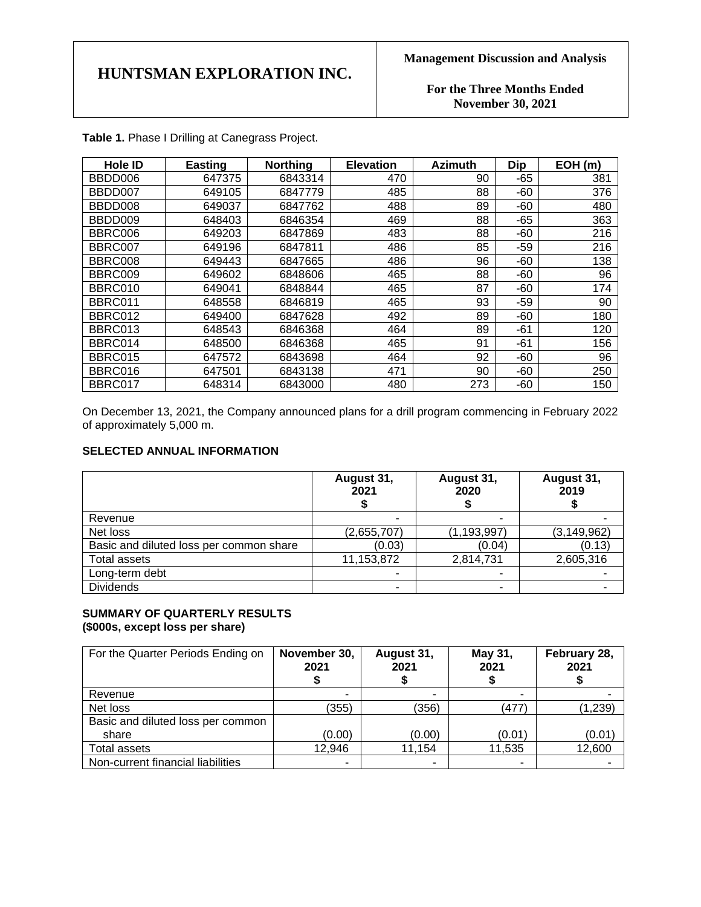**For the Three Months Ended November 30, 2021**

| <b>Hole ID</b> | <b>Easting</b> | <b>Northing</b> | <b>Elevation</b> | <b>Azimuth</b> | <b>Dip</b> | EOH(m) |
|----------------|----------------|-----------------|------------------|----------------|------------|--------|
| BBDD006        | 647375         | 6843314         | 470              | 90             | $-65$      | 381    |
| BBDD007        | 649105         | 6847779         | 485              | 88             | $-60$      | 376    |
| BBDD008        | 649037         | 6847762         | 488              | 89             | -60        | 480    |
| BBDD009        | 648403         | 6846354         | 469              | 88             | $-65$      | 363    |
| BBRC006        | 649203         | 6847869         | 483              | 88             | $-60$      | 216    |
| BBRC007        | 649196         | 6847811         | 486              | 85             | -59        | 216    |
| BBRC008        | 649443         | 6847665         | 486              | 96             | -60        | 138    |
| BBRC009        | 649602         | 6848606         | 465              | 88             | -60        | 96     |
| BBRC010        | 649041         | 6848844         | 465              | 87             | $-60$      | 174    |
| BBRC011        | 648558         | 6846819         | 465              | 93             | $-59$      | 90     |
| BBRC012        | 649400         | 6847628         | 492              | 89             | -60        | 180    |
| BBRC013        | 648543         | 6846368         | 464              | 89             | -61        | 120    |
| BBRC014        | 648500         | 6846368         | 465              | 91             | -61        | 156    |
| BBRC015        | 647572         | 6843698         | 464              | 92             | $-60$      | 96     |
| BBRC016        | 647501         | 6843138         | 471              | 90             | -60        | 250    |
| BBRC017        | 648314         | 6843000         | 480              | 273            | -60        | 150    |

**Table 1.** Phase I Drilling at Canegrass Project.

On December 13, 2021, the Company announced plans for a drill program commencing in February 2022 of approximately 5,000 m.

## **SELECTED ANNUAL INFORMATION**

|                                         | August 31,<br>2021 | August 31,<br>2020 | August 31,<br>2019 |
|-----------------------------------------|--------------------|--------------------|--------------------|
| Revenue                                 | -                  |                    |                    |
| Net loss                                | (2,655,707)        | (1,193,997)        | (3, 149, 962)      |
| Basic and diluted loss per common share | (0.03)             | (0.04)             | (0.13)             |
| Total assets                            | 11,153,872         | 2,814,731          | 2,605,316          |
| Long-term debt                          |                    |                    |                    |
| <b>Dividends</b>                        | ۰                  |                    |                    |

## **SUMMARY OF QUARTERLY RESULTS (\$000s, except loss per share)**

| For the Quarter Periods Ending on | November 30,<br>2021 | August 31,<br>2021 | May 31,<br>2021 | February 28,<br>2021 |
|-----------------------------------|----------------------|--------------------|-----------------|----------------------|
| Revenue                           | ۰                    | ٠                  | -               |                      |
| Net loss                          | (355)                | (356)              | (477)           | (1, 239)             |
| Basic and diluted loss per common |                      |                    |                 |                      |
| share                             | (0.00)               | (0.00)             | (0.01)          | (0.01)               |
| Total assets                      | 12,946               | 11,154             | 11,535          | 12,600               |
| Non-current financial liabilities | ۰                    |                    |                 |                      |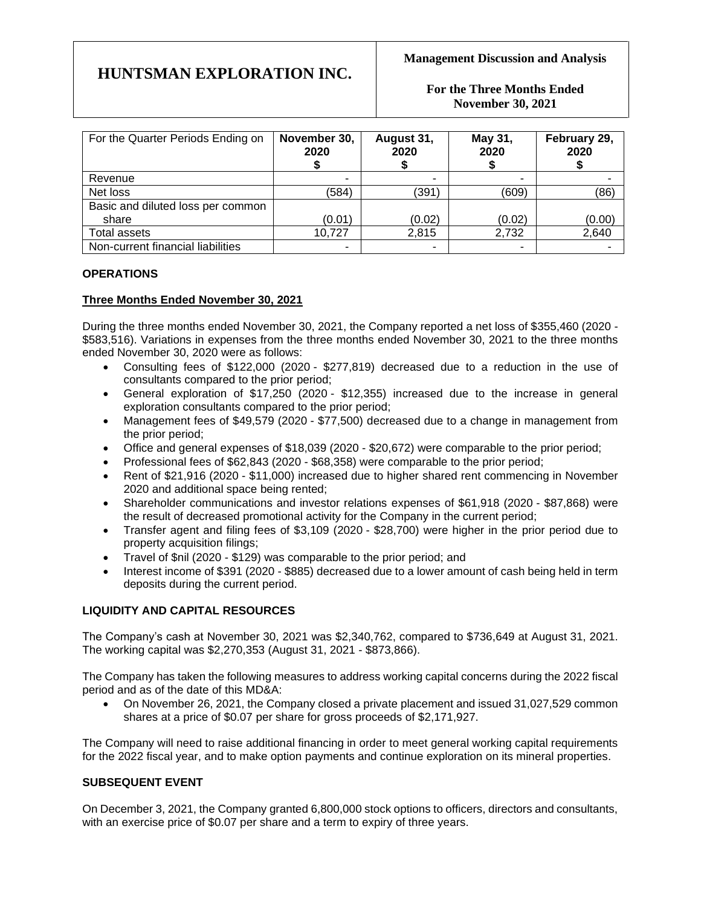**For the Three Months Ended November 30, 2021**

| For the Quarter Periods Ending on | November 30,<br>2020 | August 31,<br>2020 | May 31,<br>2020 | February 29,<br>2020 |
|-----------------------------------|----------------------|--------------------|-----------------|----------------------|
| Revenue                           | ۰                    |                    |                 |                      |
| Net loss                          | (584)                | (391               | (609)           | (86)                 |
| Basic and diluted loss per common |                      |                    |                 |                      |
| share                             | (0.01)               | (0.02)             | (0.02)          | (0.00)               |
| Total assets                      | 10,727               | 2,815              | 2,732           | 2,640                |
| Non-current financial liabilities | ٠                    | ٠                  |                 |                      |

## **OPERATIONS**

## **Three Months Ended November 30, 2021**

During the three months ended November 30, 2021, the Company reported a net loss of \$355,460 (2020 - \$583,516). Variations in expenses from the three months ended November 30, 2021 to the three months ended November 30, 2020 were as follows:

- Consulting fees of \$122,000 (2020 \$277,819) decreased due to a reduction in the use of consultants compared to the prior period;
- General exploration of \$17,250 (2020 \$12,355) increased due to the increase in general exploration consultants compared to the prior period;
- Management fees of \$49,579 (2020 \$77,500) decreased due to a change in management from the prior period;
- Office and general expenses of \$18,039 (2020 \$20,672) were comparable to the prior period;
- Professional fees of \$62,843 (2020 \$68,358) were comparable to the prior period;
- Rent of \$21,916 (2020 \$11,000) increased due to higher shared rent commencing in November 2020 and additional space being rented;
- Shareholder communications and investor relations expenses of \$61,918 (2020 \$87,868) were the result of decreased promotional activity for the Company in the current period;
- Transfer agent and filing fees of \$3,109 (2020 \$28,700) were higher in the prior period due to property acquisition filings;
- Travel of \$nil (2020 \$129) was comparable to the prior period; and
- Interest income of \$391 (2020 \$885) decreased due to a lower amount of cash being held in term deposits during the current period.

## **LIQUIDITY AND CAPITAL RESOURCES**

The Company's cash at November 30, 2021 was \$2,340,762, compared to \$736,649 at August 31, 2021. The working capital was \$2,270,353 (August 31, 2021 - \$873,866).

The Company has taken the following measures to address working capital concerns during the 2022 fiscal period and as of the date of this MD&A:

• On November 26, 2021, the Company closed a private placement and issued 31,027,529 common shares at a price of \$0.07 per share for gross proceeds of \$2,171,927.

The Company will need to raise additional financing in order to meet general working capital requirements for the 2022 fiscal year, and to make option payments and continue exploration on its mineral properties.

## **SUBSEQUENT EVENT**

On December 3, 2021, the Company granted 6,800,000 stock options to officers, directors and consultants, with an exercise price of \$0.07 per share and a term to expiry of three years.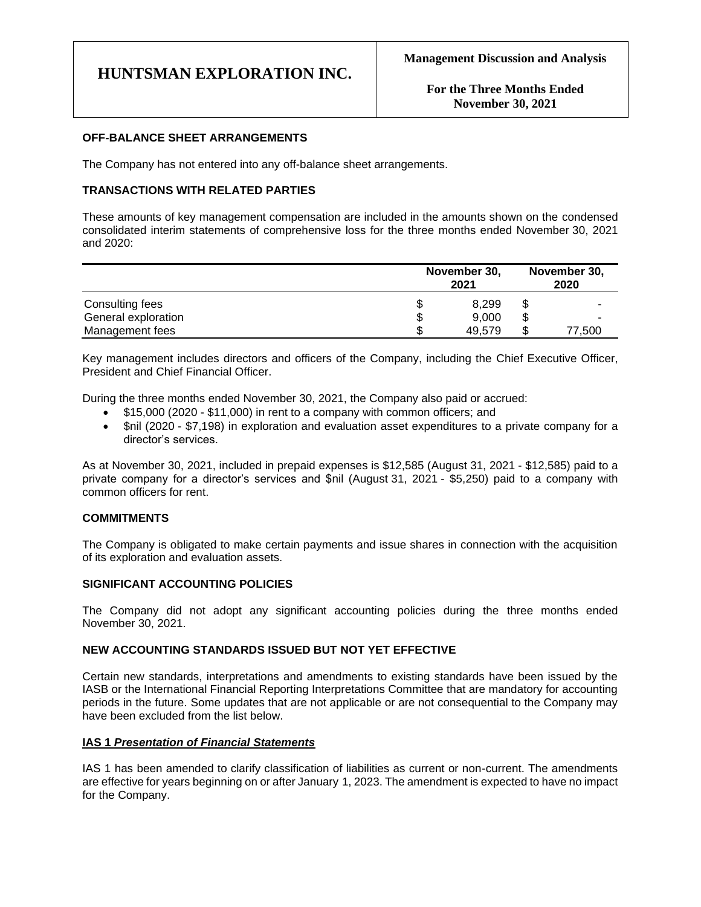## **OFF-BALANCE SHEET ARRANGEMENTS**

The Company has not entered into any off-balance sheet arrangements.

## **TRANSACTIONS WITH RELATED PARTIES**

These amounts of key management compensation are included in the amounts shown on the condensed consolidated interim statements of comprehensive loss for the three months ended November 30, 2021 and 2020:

|                     | November 30,<br>2021 |        | November 30,<br>2020 |        |
|---------------------|----------------------|--------|----------------------|--------|
| Consulting fees     |                      | 8.299  | \$                   |        |
| General exploration |                      | 9,000  | \$                   |        |
| Management fees     |                      | 49.579 | \$                   | 77.500 |

Key management includes directors and officers of the Company, including the Chief Executive Officer, President and Chief Financial Officer.

During the three months ended November 30, 2021, the Company also paid or accrued:

- \$15,000 (2020 \$11,000) in rent to a company with common officers; and
- \$nil (2020 \$7,198) in exploration and evaluation asset expenditures to a private company for a director's services.

As at November 30, 2021, included in prepaid expenses is \$12,585 (August 31, 2021 - \$12,585) paid to a private company for a director's services and \$nil (August 31, 2021 - \$5,250) paid to a company with common officers for rent.

## **COMMITMENTS**

The Company is obligated to make certain payments and issue shares in connection with the acquisition of its exploration and evaluation assets.

### **SIGNIFICANT ACCOUNTING POLICIES**

The Company did not adopt any significant accounting policies during the three months ended November 30, 2021.

### **NEW ACCOUNTING STANDARDS ISSUED BUT NOT YET EFFECTIVE**

Certain new standards, interpretations and amendments to existing standards have been issued by the IASB or the International Financial Reporting Interpretations Committee that are mandatory for accounting periods in the future. Some updates that are not applicable or are not consequential to the Company may have been excluded from the list below.

### **IAS 1** *Presentation of Financial Statements*

IAS 1 has been amended to clarify classification of liabilities as current or non-current. The amendments are effective for years beginning on or after January 1, 2023. The amendment is expected to have no impact for the Company.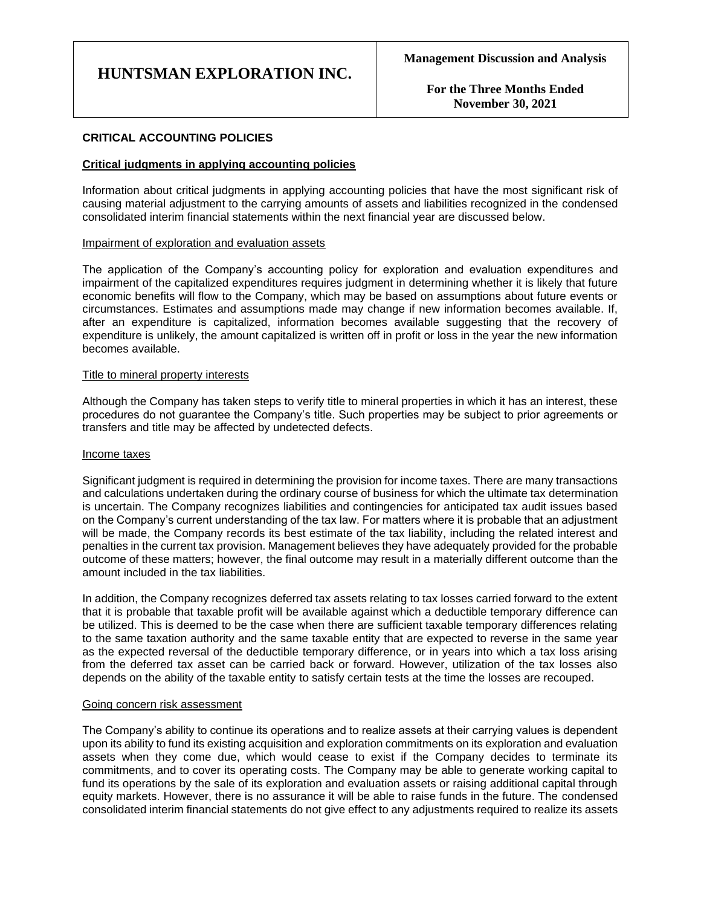**For the Three Months Ended November 30, 2021**

## **CRITICAL ACCOUNTING POLICIES**

### **Critical judgments in applying accounting policies**

Information about critical judgments in applying accounting policies that have the most significant risk of causing material adjustment to the carrying amounts of assets and liabilities recognized in the condensed consolidated interim financial statements within the next financial year are discussed below.

#### Impairment of exploration and evaluation assets

The application of the Company's accounting policy for exploration and evaluation expenditures and impairment of the capitalized expenditures requires judgment in determining whether it is likely that future economic benefits will flow to the Company, which may be based on assumptions about future events or circumstances. Estimates and assumptions made may change if new information becomes available. If, after an expenditure is capitalized, information becomes available suggesting that the recovery of expenditure is unlikely, the amount capitalized is written off in profit or loss in the year the new information becomes available.

#### Title to mineral property interests

Although the Company has taken steps to verify title to mineral properties in which it has an interest, these procedures do not guarantee the Company's title. Such properties may be subject to prior agreements or transfers and title may be affected by undetected defects.

#### Income taxes

Significant judgment is required in determining the provision for income taxes. There are many transactions and calculations undertaken during the ordinary course of business for which the ultimate tax determination is uncertain. The Company recognizes liabilities and contingencies for anticipated tax audit issues based on the Company's current understanding of the tax law. For matters where it is probable that an adjustment will be made, the Company records its best estimate of the tax liability, including the related interest and penalties in the current tax provision. Management believes they have adequately provided for the probable outcome of these matters; however, the final outcome may result in a materially different outcome than the amount included in the tax liabilities.

In addition, the Company recognizes deferred tax assets relating to tax losses carried forward to the extent that it is probable that taxable profit will be available against which a deductible temporary difference can be utilized. This is deemed to be the case when there are sufficient taxable temporary differences relating to the same taxation authority and the same taxable entity that are expected to reverse in the same year as the expected reversal of the deductible temporary difference, or in years into which a tax loss arising from the deferred tax asset can be carried back or forward. However, utilization of the tax losses also depends on the ability of the taxable entity to satisfy certain tests at the time the losses are recouped.

#### Going concern risk assessment

The Company's ability to continue its operations and to realize assets at their carrying values is dependent upon its ability to fund its existing acquisition and exploration commitments on its exploration and evaluation assets when they come due, which would cease to exist if the Company decides to terminate its commitments, and to cover its operating costs. The Company may be able to generate working capital to fund its operations by the sale of its exploration and evaluation assets or raising additional capital through equity markets. However, there is no assurance it will be able to raise funds in the future. The condensed consolidated interim financial statements do not give effect to any adjustments required to realize its assets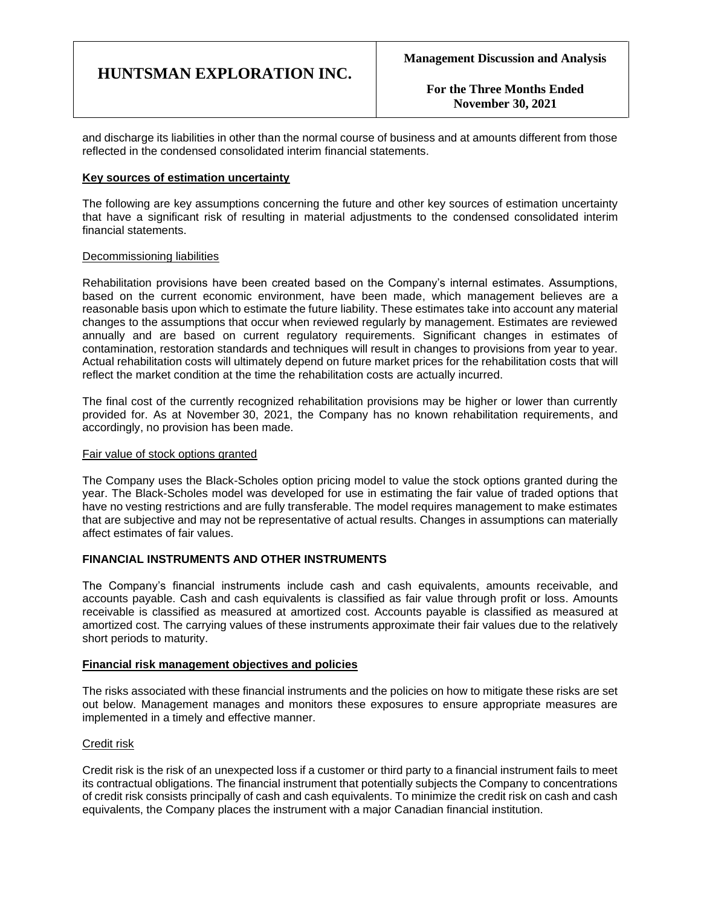**For the Three Months Ended November 30, 2021**

and discharge its liabilities in other than the normal course of business and at amounts different from those reflected in the condensed consolidated interim financial statements.

### **Key sources of estimation uncertainty**

The following are key assumptions concerning the future and other key sources of estimation uncertainty that have a significant risk of resulting in material adjustments to the condensed consolidated interim financial statements.

### Decommissioning liabilities

Rehabilitation provisions have been created based on the Company's internal estimates. Assumptions, based on the current economic environment, have been made, which management believes are a reasonable basis upon which to estimate the future liability. These estimates take into account any material changes to the assumptions that occur when reviewed regularly by management. Estimates are reviewed annually and are based on current regulatory requirements. Significant changes in estimates of contamination, restoration standards and techniques will result in changes to provisions from year to year. Actual rehabilitation costs will ultimately depend on future market prices for the rehabilitation costs that will reflect the market condition at the time the rehabilitation costs are actually incurred.

The final cost of the currently recognized rehabilitation provisions may be higher or lower than currently provided for. As at November 30, 2021, the Company has no known rehabilitation requirements, and accordingly, no provision has been made.

#### Fair value of stock options granted

The Company uses the Black-Scholes option pricing model to value the stock options granted during the year. The Black-Scholes model was developed for use in estimating the fair value of traded options that have no vesting restrictions and are fully transferable. The model requires management to make estimates that are subjective and may not be representative of actual results. Changes in assumptions can materially affect estimates of fair values.

### **FINANCIAL INSTRUMENTS AND OTHER INSTRUMENTS**

The Company's financial instruments include cash and cash equivalents, amounts receivable, and accounts payable. Cash and cash equivalents is classified as fair value through profit or loss. Amounts receivable is classified as measured at amortized cost. Accounts payable is classified as measured at amortized cost. The carrying values of these instruments approximate their fair values due to the relatively short periods to maturity.

### **Financial risk management objectives and policies**

The risks associated with these financial instruments and the policies on how to mitigate these risks are set out below. Management manages and monitors these exposures to ensure appropriate measures are implemented in a timely and effective manner.

## Credit risk

Credit risk is the risk of an unexpected loss if a customer or third party to a financial instrument fails to meet its contractual obligations. The financial instrument that potentially subjects the Company to concentrations of credit risk consists principally of cash and cash equivalents. To minimize the credit risk on cash and cash equivalents, the Company places the instrument with a major Canadian financial institution.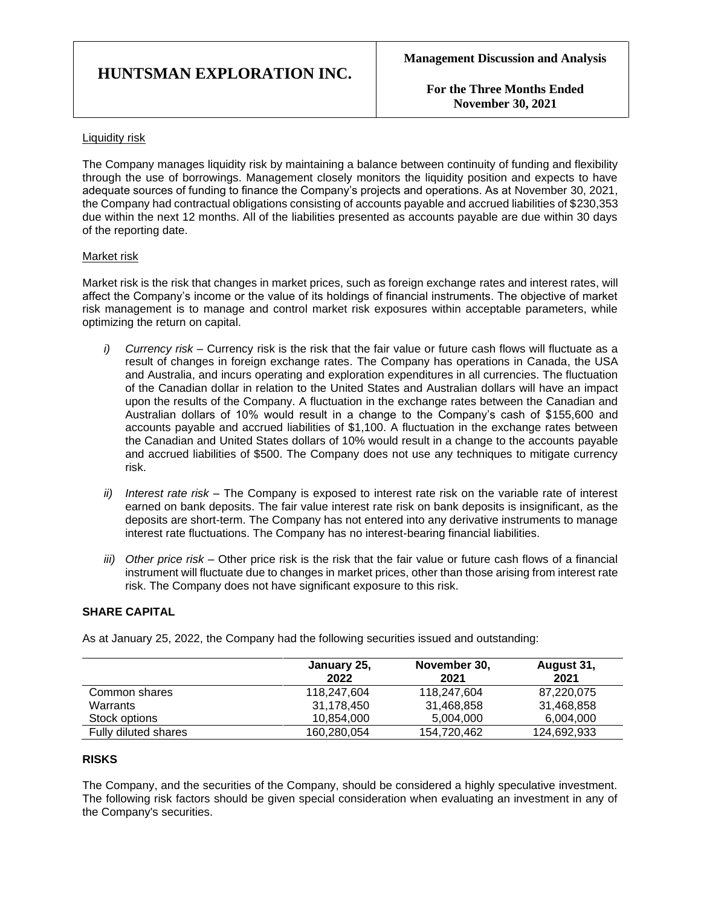**For the Three Months Ended November 30, 2021**

### Liquidity risk

The Company manages liquidity risk by maintaining a balance between continuity of funding and flexibility through the use of borrowings. Management closely monitors the liquidity position and expects to have adequate sources of funding to finance the Company's projects and operations. As at November 30, 2021, the Company had contractual obligations consisting of accounts payable and accrued liabilities of \$230,353 due within the next 12 months. All of the liabilities presented as accounts payable are due within 30 days of the reporting date.

## Market risk

Market risk is the risk that changes in market prices, such as foreign exchange rates and interest rates, will affect the Company's income or the value of its holdings of financial instruments. The objective of market risk management is to manage and control market risk exposures within acceptable parameters, while optimizing the return on capital.

- *i) Currency risk –* Currency risk is the risk that the fair value or future cash flows will fluctuate as a result of changes in foreign exchange rates. The Company has operations in Canada, the USA and Australia, and incurs operating and exploration expenditures in all currencies. The fluctuation of the Canadian dollar in relation to the United States and Australian dollars will have an impact upon the results of the Company. A fluctuation in the exchange rates between the Canadian and Australian dollars of 10% would result in a change to the Company's cash of \$155,600 and accounts payable and accrued liabilities of \$1,100. A fluctuation in the exchange rates between the Canadian and United States dollars of 10% would result in a change to the accounts payable and accrued liabilities of \$500. The Company does not use any techniques to mitigate currency risk.
- *ii) Interest rate risk –* The Company is exposed to interest rate risk on the variable rate of interest earned on bank deposits. The fair value interest rate risk on bank deposits is insignificant, as the deposits are short-term. The Company has not entered into any derivative instruments to manage interest rate fluctuations. The Company has no interest-bearing financial liabilities.
- *iii) Other price risk –* Other price risk is the risk that the fair value or future cash flows of a financial instrument will fluctuate due to changes in market prices, other than those arising from interest rate risk. The Company does not have significant exposure to this risk.

## **SHARE CAPITAL**

As at January 25, 2022, the Company had the following securities issued and outstanding:

|                      | January 25,<br>2022 | November 30,<br>2021 | August 31,<br>2021 |
|----------------------|---------------------|----------------------|--------------------|
| Common shares        | 118,247,604         | 118,247,604          | 87,220,075         |
| Warrants             | 31,178,450          | 31,468,858           | 31,468,858         |
| Stock options        | 10.854.000          | 5.004.000            | 6,004,000          |
| Fully diluted shares | 160,280,054         | 154,720,462          | 124,692,933        |

## **RISKS**

The Company, and the securities of the Company, should be considered a highly speculative investment. The following risk factors should be given special consideration when evaluating an investment in any of the Company's securities.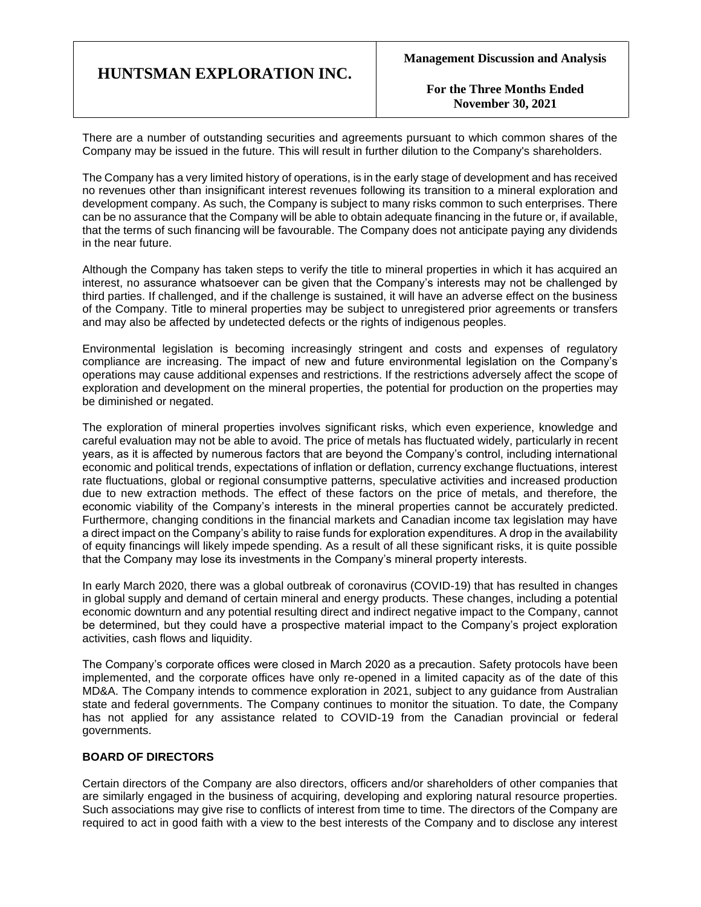**For the Three Months Ended November 30, 2021**

There are a number of outstanding securities and agreements pursuant to which common shares of the Company may be issued in the future. This will result in further dilution to the Company's shareholders.

The Company has a very limited history of operations, is in the early stage of development and has received no revenues other than insignificant interest revenues following its transition to a mineral exploration and development company. As such, the Company is subject to many risks common to such enterprises. There can be no assurance that the Company will be able to obtain adequate financing in the future or, if available, that the terms of such financing will be favourable. The Company does not anticipate paying any dividends in the near future.

Although the Company has taken steps to verify the title to mineral properties in which it has acquired an interest, no assurance whatsoever can be given that the Company's interests may not be challenged by third parties. If challenged, and if the challenge is sustained, it will have an adverse effect on the business of the Company. Title to mineral properties may be subject to unregistered prior agreements or transfers and may also be affected by undetected defects or the rights of indigenous peoples.

Environmental legislation is becoming increasingly stringent and costs and expenses of regulatory compliance are increasing. The impact of new and future environmental legislation on the Company's operations may cause additional expenses and restrictions. If the restrictions adversely affect the scope of exploration and development on the mineral properties, the potential for production on the properties may be diminished or negated.

The exploration of mineral properties involves significant risks, which even experience, knowledge and careful evaluation may not be able to avoid. The price of metals has fluctuated widely, particularly in recent years, as it is affected by numerous factors that are beyond the Company's control, including international economic and political trends, expectations of inflation or deflation, currency exchange fluctuations, interest rate fluctuations, global or regional consumptive patterns, speculative activities and increased production due to new extraction methods. The effect of these factors on the price of metals, and therefore, the economic viability of the Company's interests in the mineral properties cannot be accurately predicted. Furthermore, changing conditions in the financial markets and Canadian income tax legislation may have a direct impact on the Company's ability to raise funds for exploration expenditures. A drop in the availability of equity financings will likely impede spending. As a result of all these significant risks, it is quite possible that the Company may lose its investments in the Company's mineral property interests.

In early March 2020, there was a global outbreak of coronavirus (COVID-19) that has resulted in changes in global supply and demand of certain mineral and energy products. These changes, including a potential economic downturn and any potential resulting direct and indirect negative impact to the Company, cannot be determined, but they could have a prospective material impact to the Company's project exploration activities, cash flows and liquidity.

The Company's corporate offices were closed in March 2020 as a precaution. Safety protocols have been implemented, and the corporate offices have only re-opened in a limited capacity as of the date of this MD&A. The Company intends to commence exploration in 2021, subject to any guidance from Australian state and federal governments. The Company continues to monitor the situation. To date, the Company has not applied for any assistance related to COVID-19 from the Canadian provincial or federal governments.

## **BOARD OF DIRECTORS**

Certain directors of the Company are also directors, officers and/or shareholders of other companies that are similarly engaged in the business of acquiring, developing and exploring natural resource properties. Such associations may give rise to conflicts of interest from time to time. The directors of the Company are required to act in good faith with a view to the best interests of the Company and to disclose any interest